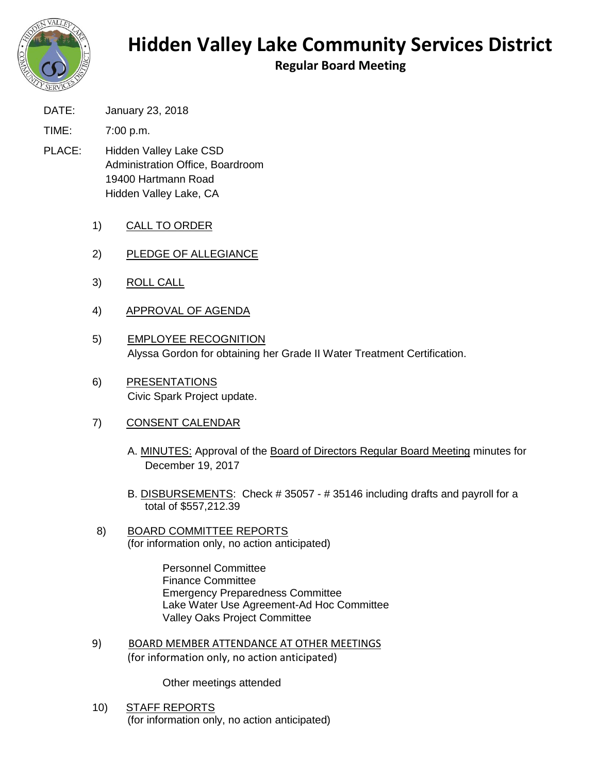

## **Hidden Valley Lake Community Services District**

**Regular Board Meeting**

DATE: January 23, 2018

TIME: 7:00 p.m.

- PLACE: Hidden Valley Lake CSD Administration Office, Boardroom 19400 Hartmann Road Hidden Valley Lake, CA
	- 1) CALL TO ORDER
	- 2) PLEDGE OF ALLEGIANCE
	- 3) ROLL CALL
	- 4) APPROVAL OF AGENDA
	- 5) EMPLOYEE RECOGNITION Alyssa Gordon for obtaining her Grade II Water Treatment Certification.
	- 6) PRESENTATIONS Civic Spark Project update.
	- 7) CONSENT CALENDAR
		- A. MINUTES: Approval of the Board of Directors Regular Board Meeting minutes for December 19, 2017
		- B. DISBURSEMENTS: Check # 35057 # 35146 including drafts and payroll for a total of \$557,212.39
	- 8) BOARD COMMITTEE REPORTS (for information only, no action anticipated)

Personnel Committee Finance Committee Emergency Preparedness Committee Lake Water Use Agreement-Ad Hoc Committee Valley Oaks Project Committee

9) BOARD MEMBER ATTENDANCE AT OTHER MEETINGS (for information only, no action anticipated)

Other meetings attended

10) STAFF REPORTS (for information only, no action anticipated)